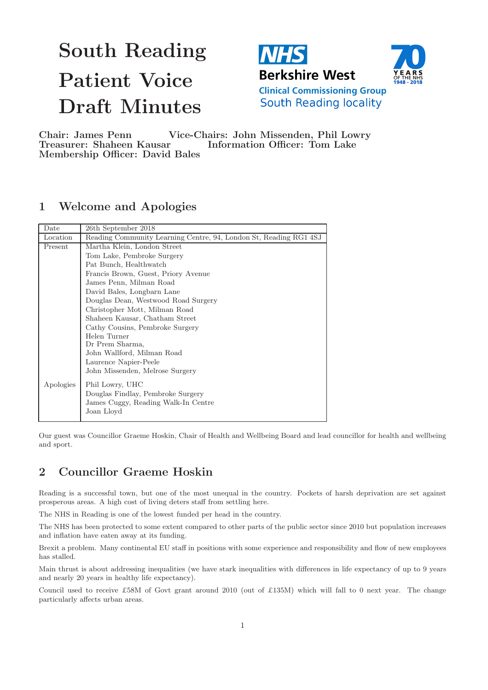# South Reading Patient Voice Draft Minutes



Chair: James Penn Vice-Chairs: John Missenden, Phil Lowry Treasurer: Shaheen Kausar Information Officer: Tom Lake Membership Officer: David Bales

# 1 Welcome and Apologies

| Date                          | 26th September 2018                                               |  |  |  |  |
|-------------------------------|-------------------------------------------------------------------|--|--|--|--|
| Location                      | Reading Community Learning Centre, 94, London St, Reading RG1 4SJ |  |  |  |  |
| Present                       | Martha Klein, London Street                                       |  |  |  |  |
|                               | Tom Lake, Pembroke Surgery                                        |  |  |  |  |
|                               | Pat Bunch, Healthwatch                                            |  |  |  |  |
|                               | Francis Brown, Guest, Priory Avenue                               |  |  |  |  |
|                               | James Penn, Milman Road                                           |  |  |  |  |
|                               | David Bales, Longbarn Lane                                        |  |  |  |  |
|                               | Douglas Dean, Westwood Road Surgery                               |  |  |  |  |
| Christopher Mott, Milman Road |                                                                   |  |  |  |  |
|                               | Shaheen Kausar, Chatham Street                                    |  |  |  |  |
|                               | Cathy Cousins, Pembroke Surgery                                   |  |  |  |  |
|                               | Helen Turner                                                      |  |  |  |  |
|                               | Dr Prem Sharma,                                                   |  |  |  |  |
|                               | John Wallford, Milman Road                                        |  |  |  |  |
|                               | Laurence Napier-Peele                                             |  |  |  |  |
|                               | John Missenden, Melrose Surgery                                   |  |  |  |  |
| Apologies                     | Phil Lowry, UHC                                                   |  |  |  |  |
|                               | Douglas Findlay, Pembroke Surgery                                 |  |  |  |  |
|                               | James Cuggy, Reading Walk-In Centre                               |  |  |  |  |
|                               | Joan Lloyd                                                        |  |  |  |  |
|                               |                                                                   |  |  |  |  |

Our guest was Councillor Graeme Hoskin, Chair of Health and Wellbeing Board and lead councillor for health and wellbeing and sport.

# 2 Councillor Graeme Hoskin

Reading is a successful town, but one of the most unequal in the country. Pockets of harsh deprivation are set against prosperous areas. A high cost of living deters staff from settling here.

The NHS in Reading is one of the lowest funded per head in the country.

The NHS has been protected to some extent compared to other parts of the public sector since 2010 but population increases and inflation have eaten away at its funding.

Brexit a problem. Many continental EU staff in positions with some experience and responsibility and flow of new employees has stalled.

Main thrust is about addressing inequalities (we have stark inequalities with differences in life expectancy of up to 9 years and nearly 20 years in healthy life expectancy).

Council used to receive £58M of Govt grant around 2010 (out of £135M) which will fall to 0 next year. The change particularly affects urban areas.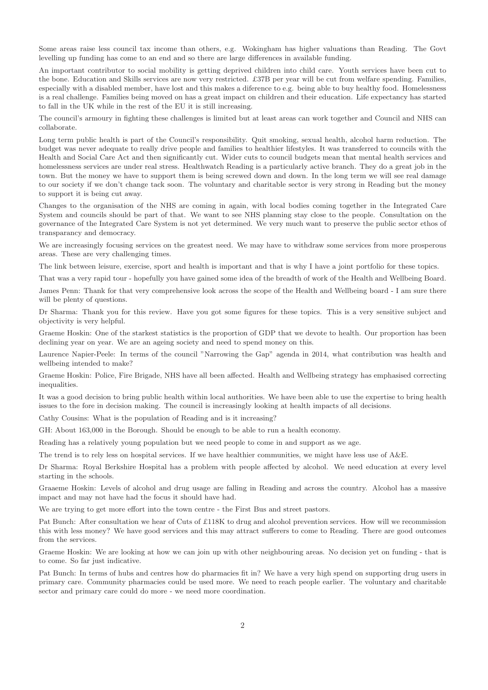Some areas raise less council tax income than others, e.g. Wokingham has higher valuations than Reading. The Govt levelling up funding has come to an end and so there are large differences in available funding.

An important contributor to social mobility is getting deprived children into child care. Youth services have been cut to the bone. Education and Skills services are now very restricted. £37B per year will be cut from welfare spending. Families, especially with a disabled member, have lost and this makes a diference to e.g. being able to buy healthy food. Homelessness is a real challenge. Families being moved on has a great impact on children and their education. Life expectancy has started to fall in the UK while in the rest of the EU it is still increasing.

The council's armoury in fighting these challenges is limited but at least areas can work together and Council and NHS can collaborate.

Long term public health is part of the Council's responsibility. Quit smoking, sexual health, alcohol harm reduction. The budget was never adequate to really drive people and families to healthier lifestyles. It was transferred to councils with the Health and Social Care Act and then significantly cut. Wider cuts to council budgets mean that mental health services and homelessness services are under real stress. Healthwatch Reading is a particularly active branch. They do a great job in the town. But the money we have to support them is being screwed down and down. In the long term we will see real damage to our society if we don't change tack soon. The voluntary and charitable sector is very strong in Reading but the money to support it is being cut away.

Changes to the organisation of the NHS are coming in again, with local bodies coming together in the Integrated Care System and councils should be part of that. We want to see NHS planning stay close to the people. Consultation on the governance of the Integrated Care System is not yet determined. We very much want to preserve the public sector ethos of transparancy and democracy.

We are increasingly focusing services on the greatest need. We may have to withdraw some services from more prosperous areas. These are very challenging times.

The link between leisure, exercise, sport and health is important and that is why I have a joint portfolio for these topics.

That was a very rapid tour - hopefully you have gained some idea of the breadth of work of the Health and Wellbeing Board.

James Penn: Thank for that very comprehensive look across the scope of the Health and Wellbeing board - I am sure there will be plenty of questions.

Dr Sharma: Thank you for this review. Have you got some figures for these topics. This is a very sensitive subject and objectivity is very helpful.

Graeme Hoskin: One of the starkest statistics is the proportion of GDP that we devote to health. Our proportion has been declining year on year. We are an ageing society and need to spend money on this.

Laurence Napier-Peele: In terms of the council "Narrowing the Gap" agenda in 2014, what contribution was health and wellbeing intended to make?

Graeme Hoskin: Police, Fire Brigade, NHS have all been affected. Health and Wellbeing strategy has emphasised correcting inequalities.

It was a good decision to bring public health within local authorities. We have been able to use the expertise to bring health issues to the fore in decision making. The council is increasingly looking at health impacts of all decisions.

Cathy Cousins: What is the population of Reading and is it increasing?

GH: About 163,000 in the Borough. Should be enough to be able to run a health economy.

Reading has a relatively young population but we need people to come in and support as we age.

The trend is to rely less on hospital services. If we have healthier communities, we might have less use of A&E.

Dr Sharma: Royal Berkshire Hospital has a problem with people affected by alcohol. We need education at every level starting in the schools.

Graaeme Hoskin: Levels of alcohol and drug usage are falling in Reading and across the country. Alcohol has a massive impact and may not have had the focus it should have had.

We are trying to get more effort into the town centre - the First Bus and street pastors.

Pat Bunch: After consultation we hear of Cuts of £118K to drug and alcohol prevention services. How will we recommission this with less money? We have good services and this may attract sufferers to come to Reading. There are good outcomes from the services.

Graeme Hoskin: We are looking at how we can join up with other neighbouring areas. No decision yet on funding - that is to come. So far just indicative.

Pat Bunch: In terms of hubs and centres how do pharmacies fit in? We have a very high spend on supporting drug users in primary care. Community pharmacies could be used more. We need to reach people earlier. The voluntary and charitable sector and primary care could do more - we need more coordination.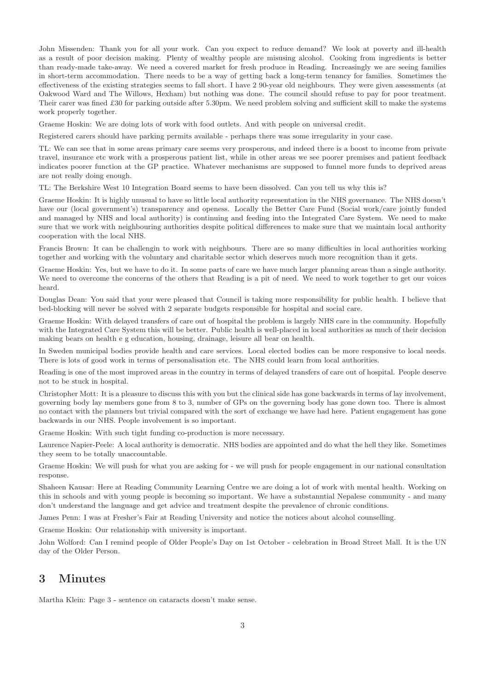John Missenden: Thank you for all your work. Can you expect to reduce demand? We look at poverty and ill-health as a result of poor decision making. Plenty of wealthy people are misusing alcohol. Cooking from ingredients is better than ready-made take-away. We need a covered market for fresh produce in Reading. Increasingly we are seeing families in short-term accommodation. There needs to be a way of getting back a long-term tenancy for families. Sometimes the effectiveness of the existing strategies seems to fall short. I have 2 90-year old neighbours. They were given assessments (at Oakwood Ward and The Willows, Hexham) but nothing was done. The council should refuse to pay for poor treatment. Their carer was fined £30 for parking outside after 5.30pm. We need problem solving and sufficient skill to make the systems work properly together.

Graeme Hoskin: We are doing lots of work with food outlets. And with people on universal credit.

Registered carers should have parking permits available - perhaps there was some irregularity in your case.

TL: We can see that in some areas primary care seems very prosperous, and indeed there is a boost to income from private travel, insurance etc work with a prosperous patient list, while in other areas we see poorer premises and patient feedback indicates poorer function at the GP practice. Whatever mechanisms are supposed to funnel more funds to deprived areas are not really doing enough.

TL: The Berkshire West 10 Integration Board seems to have been dissolved. Can you tell us why this is?

Graeme Hoskin: It is highly unusual to have so little local authority representation in the NHS governance. The NHS doesn't have our (local government's) transparency and openess. Locally the Better Care Fund (Social work/care jointly funded and managed by NHS and local authority) is continuing and feeding into the Integrated Care System. We need to make sure that we work with neighbouring authorities despite political differences to make sure that we maintain local authority cooperation with the local NHS.

Francis Brown: It can be challengin to work with neighbours. There are so many difficulties in local authorities working together and working with the voluntary and charitable sector which deserves much more recognition than it gets.

Graeme Hoskin: Yes, but we have to do it. In some parts of care we have much larger planning areas than a single authority. We need to overcome the concerns of the others that Reading is a pit of need. We need to work together to get our voices heard.

Douglas Dean: You said that your were pleased that Council is taking more responsibility for public health. I believe that bed-blocking will never be solved with 2 separate budgets responsible for hospital and social care.

Graeme Hoskin: With delayed transfers of care out of hospital the problem is largely NHS care in the community. Hopefully with the Integrated Care System this will be better. Public health is well-placed in local authorities as much of their decision making bears on health e g education, housing, drainage, leisure all bear on health.

In Sweden municipal bodies provide health and care services. Local elected bodies can be more responsive to local needs. There is lots of good work in terms of personalisation etc. The NHS could learn from local authorities.

Reading is one of the most improved areas in the country in terms of delayed transfers of care out of hospital. People deserve not to be stuck in hospital.

Christopher Mott: It is a pleasure to discuss this with you but the clinical side has gone backwards in terms of lay involvement, governing body lay members gone from 8 to 3, number of GPs on the governing body has gone down too. There is almost no contact with the planners but trivial compared with the sort of exchange we have had here. Patient engagement has gone backwards in our NHS. People involvement is so important.

Graeme Hoskin: With such tight funding co-production is more necessary.

Laurence Napier-Peele: A local authority is democratic. NHS bodies are appointed and do what the hell they like. Sometimes they seem to be totally unaccountable.

Graeme Hoskin: We will push for what you are asking for - we will push for people engagement in our national consultation response.

Shaheen Kausar: Here at Reading Community Learning Centre we are doing a lot of work with mental health. Working on this in schools and with young people is becoming so important. We have a substanntial Nepalese community - and many don't understand the language and get advice and treatment despite the prevalence of chronic conditions.

James Penn: I was at Fresher's Fair at Reading University and notice the notices about alcohol counselling.

Graeme Hoskin: Our relationship with university is important.

John Wolford: Can I remind people of Older People's Day on 1st October - celebration in Broad Street Mall. It is the UN day of the Older Person.

# 3 Minutes

Martha Klein: Page 3 - sentence on cataracts doesn't make sense.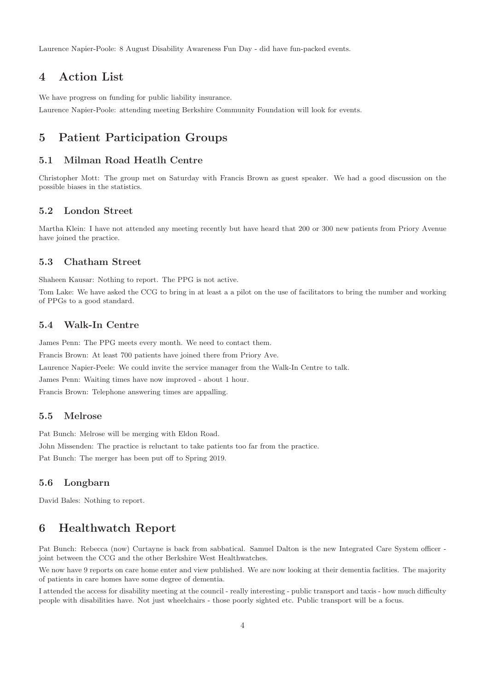Laurence Napier-Poole: 8 August Disability Awareness Fun Day - did have fun-packed events.

# 4 Action List

We have progress on funding for public liability insurance.

Laurence Napier-Poole: attending meeting Berkshire Community Foundation will look for events.

# 5 Patient Participation Groups

#### 5.1 Milman Road Heatlh Centre

Christopher Mott: The group met on Saturday with Francis Brown as guest speaker. We had a good discussion on the possible biases in the statistics.

# 5.2 London Street

Martha Klein: I have not attended any meeting recently but have heard that 200 or 300 new patients from Priory Avenue have joined the practice.

#### 5.3 Chatham Street

Shaheen Kausar: Nothing to report. The PPG is not active.

Tom Lake: We have asked the CCG to bring in at least a a pilot on the use of facilitators to bring the number and working of PPGs to a good standard.

#### 5.4 Walk-In Centre

James Penn: The PPG meets every month. We need to contact them. Francis Brown: At least 700 patients have joined there from Priory Ave. Laurence Napier-Peele: We could invite the service manager from the Walk-In Centre to talk. James Penn: Waiting times have now improved - about 1 hour. Francis Brown: Telephone answering times are appalling.

#### 5.5 Melrose

Pat Bunch: Melrose will be merging with Eldon Road. John Missenden: The practice is reluctant to take patients too far from the practice. Pat Bunch: The merger has been put off to Spring 2019.

#### 5.6 Longbarn

David Bales: Nothing to report.

# 6 Healthwatch Report

Pat Bunch: Rebecca (now) Curtayne is back from sabbatical. Samuel Dalton is the new Integrated Care System officer joint between the CCG and the other Berkshire West Healthwatches.

We now have 9 reports on care home enter and view published. We are now looking at their dementia faclities. The majority of patients in care homes have some degree of dementia.

I attended the access for disability meeting at the council - really interesting - public transport and taxis - how much difficulty people with disabilities have. Not just wheelchairs - those poorly sighted etc. Public transport will be a focus.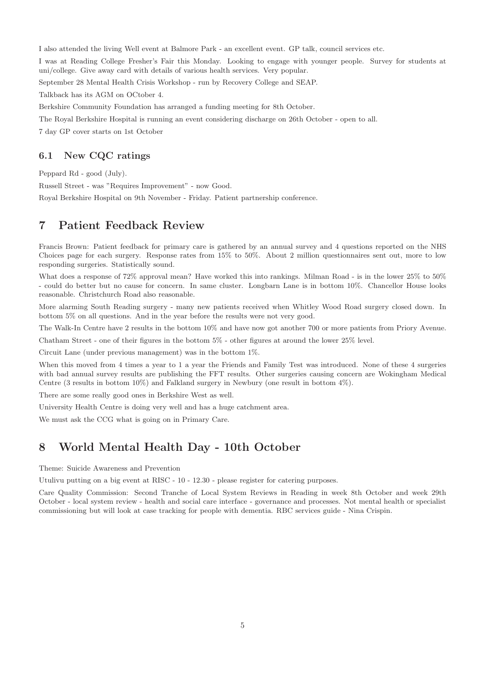I also attended the living Well event at Balmore Park - an excellent event. GP talk, council services etc.

I was at Reading College Fresher's Fair this Monday. Looking to engage with younger people. Survey for students at uni/college. Give away card with details of various health services. Very popular.

September 28 Mental Health Crisis Workshop - run by Recovery College and SEAP.

Talkback has its AGM on OCtober 4.

Berkshire Community Foundation has arranged a funding meeting for 8th October.

The Royal Berkshire Hospital is running an event considering discharge on 26th October - open to all.

7 day GP cover starts on 1st October

#### 6.1 New CQC ratings

Peppard Rd - good (July).

Russell Street - was "Requires Improvement" - now Good.

Royal Berkshire Hospital on 9th November - Friday. Patient partnership conference.

# 7 Patient Feedback Review

Francis Brown: Patient feedback for primary care is gathered by an annual survey and 4 questions reported on the NHS Choices page for each surgery. Response rates from 15% to 50%. About 2 million questionnaires sent out, more to low responding surgeries. Statistically sound.

What does a response of 72% approval mean? Have worked this into rankings. Milman Road - is in the lower 25% to 50% - could do better but no cause for concern. In same cluster. Longbarn Lane is in bottom 10%. Chancellor House looks reasonable. Christchurch Road also reasonable.

More alarming South Reading surgery - many new patients received when Whitley Wood Road surgery closed down. In bottom 5% on all questions. And in the year before the results were not very good.

The Walk-In Centre have 2 results in the bottom 10% and have now got another 700 or more patients from Priory Avenue.

Chatham Street - one of their figures in the bottom 5% - other figures at around the lower 25% level.

Circuit Lane (under previous management) was in the bottom 1%.

When this moved from 4 times a year to 1 a year the Friends and Family Test was introduced. None of these 4 surgeries with bad annual survey results are publishing the FFT results. Other surgeries causing concern are Wokingham Medical Centre (3 results in bottom 10%) and Falkland surgery in Newbury (one result in bottom 4%).

There are some really good ones in Berkshire West as well.

University Health Centre is doing very well and has a huge catchment area.

We must ask the CCG what is going on in Primary Care.

# 8 World Mental Health Day - 10th October

Theme: Suicide Awareness and Prevention

Utulivu putting on a big event at RISC - 10 - 12.30 - please register for catering purposes.

Care Quality Commission: Second Tranche of Local System Reviews in Reading in week 8th October and week 29th October - local system review - health and social care interface - governance and processes. Not mental health or specialist commissioning but will look at case tracking for people with dementia. RBC services guide - Nina Crispin.